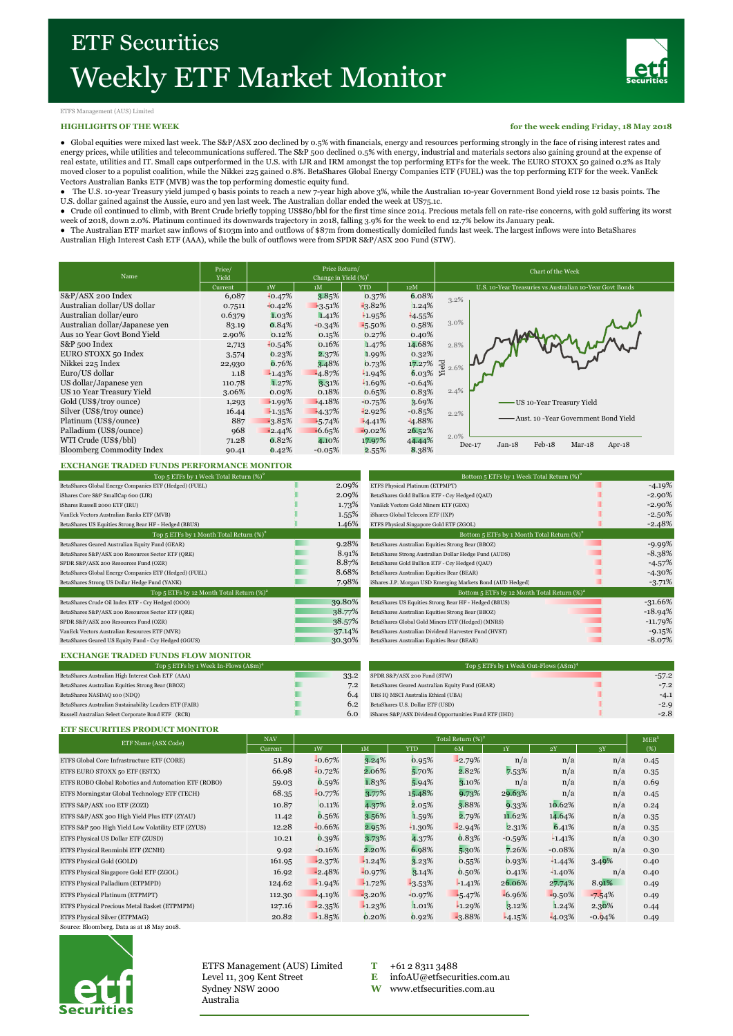

## ETFS Management (AUS) Limited

## **HIGHLIGHTS OF THE WEEK**

**for the week ending Friday, 18 May 2018**

● Global equities were mixed last week. The S&P/ASX 200 declined by 0.5% with financials, energy and resources performing strongly in the face of rising interest rates and energy prices, while utilities and telecommunications suffered. The S&P 500 declined 0.5% with energy, industrial and materials sectors also gaining ground at the expense of real estate, utilities and IT. Small caps outperformed in the U.S. with IJR and IRM amongst the top performing ETFs for the week. The EURO STOXX 50 gained 0.2% as Italy moved closer to a populist coalition, while the Nikkei 225 gained 0.8%. BetaShares Global Energy Companies ETF (FUEL) was the top performing ETF for the week. VanEck Vectors Australian Banks ETF (MVB) was the top performing domestic equity fund.

● The U.S. 10-year Treasury yield jumped 9 basis points to reach a new 7-year high above 3%, while the Australian 10-year Government Bond yield rose 12 basis points. The<br>U.S. dollar gained against the Aussie, euro and yen

● Crude oil continued to climb, with Brent Crude briefly topping US\$80/bbl for the first time since 2014. Precious metals fell on rate-rise concerns, with gold suffering its worst week of 2018, down 2.0%. Platinum continued its downwards trajectory in 2018, falling 3.9% for the week to end 12.7% below its January peak.

● The Australian ETF market saw inflows of \$103m into and outflows of \$87m from domestically domiciled funds last week. The largest inflows were into BetaShares Australian High Interest Cash ETF (AAA), while the bulk of outflows were from SPDR S&P/ASX 200 Fund (STW).

| Name                             | Price/<br>Yield |          | Price Return/<br>Change in Yield $(\%)^1$ |            |          | Chart of the Week                                        |  |  |  |  |
|----------------------------------|-----------------|----------|-------------------------------------------|------------|----------|----------------------------------------------------------|--|--|--|--|
|                                  | Current         | 1W       | 1M                                        | <b>YTD</b> | 12M      | U.S. 10-Year Treasuries vs Australian 10-Year Govt Bonds |  |  |  |  |
| S&P/ASX 200 Index                | 6,087           | $-0.47%$ | 3.85%                                     | 0.37%      | 6.08%    | 3.2%                                                     |  |  |  |  |
| Australian dollar/US dollar      | 0.7511          | $-0.42%$ | $-3.51%$                                  | $-3.82%$   | 1.24%    |                                                          |  |  |  |  |
| Australian dollar/euro           | 0.6379          | 1.03%    | 1.41%                                     | 1.95%      | $-4.55%$ |                                                          |  |  |  |  |
| Australian dollar/Japanese yen   | 83.19           | 0.84%    | $-0.34%$                                  | $-5.50\%$  | 0.58%    | $3.0\%$                                                  |  |  |  |  |
| Aus 10 Year Govt Bond Yield      | 2.90%           | 0.12%    | 0.15%                                     | 0.27%      | 0.40%    |                                                          |  |  |  |  |
| S&P 500 Index                    | 2,713           | $-0.54%$ | 0.16%                                     | 1.47%      | 14.68%   | 2.8%                                                     |  |  |  |  |
| EURO STOXX 50 Index              | 3,574           | 0.23%    | 2.37%                                     | 1.99%      | 0.32%    |                                                          |  |  |  |  |
| Nikkei 225 Index                 | 22,930          | 0.76%    | 3.48%                                     | 0.73%      | 17.27%   | $\frac{1}{2}$ 2.6%                                       |  |  |  |  |
| Euro/US dollar                   | 1.18            | $-1.43%$ | $-4.87%$                                  | 1.94%      | 6.03%    | 坛                                                        |  |  |  |  |
| US dollar/Japanese ven           | 110.78          | 1.27%    | 3.31%                                     | 1.69%      | $-0.64%$ |                                                          |  |  |  |  |
| US 10 Year Treasury Yield        | 3.06%           | 0.09%    | 0.18%                                     | 0.65%      | 0.83%    | 2.4%                                                     |  |  |  |  |
| Gold (US\$/troy ounce)           | 1,293           | $-1.99%$ | $-4.18%$                                  | $-0.75%$   | 3.69%    | -US 10-Year Treasury Yield                               |  |  |  |  |
| Silver (US\$/troy ounce)         | 16.44           | $-1.35%$ | $-4.37%$                                  | $-2.92%$   | $-0.85%$ | 2.2%                                                     |  |  |  |  |
| Platinum (US\$/ounce)            | 887             | $-3.85%$ | $-5.74%$                                  | $-4.41%$   | $-4.88%$ | Aust. 10 -Year Government Bond Yield                     |  |  |  |  |
| Palladium (US\$/ounce)           | 968             | $-2.44%$ | $-6.65%$                                  | $-9.02%$   | 26.52%   |                                                          |  |  |  |  |
| WTI Crude (US\$/bbl)             | 71.28           | 0.82%    | 4.10%                                     | 17.97%     | 44.44%   | 2.0%                                                     |  |  |  |  |
| <b>Bloomberg Commodity Index</b> | 90.41           | 0.42%    | $-0.05%$                                  | 2.55%      | 8.38%    | Feb-18<br>$Jan-18$<br>$Mar-18$<br>$Dec-17$<br>Apr- $18$  |  |  |  |  |

## **EXCHANGE TRADED FUNDS PERFORMANCE MONITOR**

| Top 5 ETFs by 1 Week Total Return $(\%)^2$             |        |  |  |  |  |  |
|--------------------------------------------------------|--------|--|--|--|--|--|
| BetaShares Global Energy Companies ETF (Hedged) (FUEL) | 2.09%  |  |  |  |  |  |
| iShares Core S&P SmallCap 600 (LJR)                    | 2.09%  |  |  |  |  |  |
| iShares Russell 2000 ETF (IRU)                         | 1.73%  |  |  |  |  |  |
| VanEck Vectors Australian Banks ETF (MVB)              | 1.55%  |  |  |  |  |  |
| BetaShares US Equities Strong Bear HF - Hedged (BBUS)  | 1.46%  |  |  |  |  |  |
| Top 5 ETFs by 1 Month Total Return $(\%)^2$            |        |  |  |  |  |  |
| BetaShares Geared Australian Equity Fund (GEAR)        | 9.28%  |  |  |  |  |  |
| BetaShares S&P/ASX 200 Resources Sector ETF (QRE)      | 8.91%  |  |  |  |  |  |
| SPDR S&P/ASX 200 Resources Fund (OZR)                  | 8.87%  |  |  |  |  |  |
| BetaShares Global Energy Companies ETF (Hedged) (FUEL) | 8.68%  |  |  |  |  |  |
| BetaShares Strong US Dollar Hedge Fund (YANK)          | 7.98%  |  |  |  |  |  |
| Top 5 ETFs by 12 Month Total Return $(\%)^2$           |        |  |  |  |  |  |
| BetaShares Crude Oil Index ETF - Ccy Hedged (OOO)      | 39.80% |  |  |  |  |  |
| BetaShares S&P/ASX 200 Resources Sector ETF (QRE)      | 38.77% |  |  |  |  |  |
| SPDR S&P/ASX 200 Resources Fund (OZR)                  | 38.57% |  |  |  |  |  |
| VanEck Vectors Australian Resources ETF (MVR)          | 37.14% |  |  |  |  |  |
| BetaShares Geared US Equity Fund - Ccy Hedged (GGUS)   | 30.30% |  |  |  |  |  |
|                                                        |        |  |  |  |  |  |

| Top 5 ETFs by 1 Week Total Return $(\%)^2$             |  |                                                 | Bottom 5 ETFs by 1 Week Total Return $(\%)^2$              |  |            |  |
|--------------------------------------------------------|--|-------------------------------------------------|------------------------------------------------------------|--|------------|--|
| BetaShares Global Energy Companies ETF (Hedged) (FUEL) |  | 2.09%                                           | ETFS Physical Platinum (ETPMPT)                            |  | $-4.19%$   |  |
| iShares Core S&P SmallCap 600 (LJR)                    |  | 2.09%                                           | BetaShares Gold Bullion ETF - Ccy Hedged (QAU)             |  | $-2.90\%$  |  |
| iShares Russell 2000 ETF (IRU)                         |  | 1.73%                                           | VanEck Vectors Gold Miners ETF (GDX)                       |  | $-2.90\%$  |  |
| VanEck Vectors Australian Banks ETF (MVB)              |  | 1.55%                                           | iShares Global Telecom ETF (IXP)                           |  | $-2.50\%$  |  |
| BetaShares US Equities Strong Bear HF - Hedged (BBUS)  |  | 1.46%                                           | ETFS Physical Singapore Gold ETF (ZGOL)                    |  | $-2.48%$   |  |
| Top 5 ETFs by 1 Month Total Return $(\%)^2$            |  | Bottom 5 ETFs by 1 Month Total Return $(\%)^2$  |                                                            |  |            |  |
| BetaShares Geared Australian Equity Fund (GEAR)        |  | 9.28%                                           | BetaShares Australian Equities Strong Bear (BBOZ)          |  | $-9.99\%$  |  |
| BetaShares S&P/ASX 200 Resources Sector ETF (QRE)      |  | 8.91%                                           | BetaShares Strong Australian Dollar Hedge Fund (AUDS)      |  | $-8.38\%$  |  |
| SPDR S&P/ASX 200 Resources Fund (OZR)                  |  | 8.87%                                           | BetaShares Gold Bullion ETF - Ccy Hedged (QAU)             |  | $-4.57%$   |  |
| BetaShares Global Energy Companies ETF (Hedged) (FUEL) |  | 8.68%                                           | BetaShares Australian Equities Bear (BEAR)                 |  | $-4.30\%$  |  |
| BetaShares Strong US Dollar Hedge Fund (YANK)          |  | 7.98%                                           | iShares J.P. Morgan USD Emerging Markets Bond (AUD Hedged) |  | $-3.71%$   |  |
| Top 5 ETFs by 12 Month Total Return $(\%)^2$           |  | Bottom 5 ETFs by 12 Month Total Return $(\%)^2$ |                                                            |  |            |  |
| BetaShares Crude Oil Index ETF - Ccy Hedged (OOO)      |  | 39.80%                                          | BetaShares US Equities Strong Bear HF - Hedged (BBUS)      |  | $-31.66\%$ |  |
| BetaShares S&P/ASX 200 Resources Sector ETF (QRE)      |  | 38.77%                                          | BetaShares Australian Equities Strong Bear (BBOZ)          |  | $-18.94\%$ |  |
| SPDR S&P/ASX 200 Resources Fund (OZR)                  |  | 38.57%                                          | BetaShares Global Gold Miners ETF (Hedged) (MNRS)          |  | $-11.79\%$ |  |
| VanEck Vectors Australian Resources ETF (MVR)          |  | 37.14%                                          | BetaShares Australian Dividend Harvester Fund (HVST)       |  | $-9.15%$   |  |
| BetaShares Geared US Equity Fund - Ccy Hedged (GGUS)   |  | 30.30%                                          | BetaShares Australian Equities Bear (BEAR)                 |  | $-8.07\%$  |  |
|                                                        |  |                                                 |                                                            |  |            |  |

## **EXCHANGE TRADED FUNDS FLOW MONITOR**

| Top 5 ETFs by 1 Week In-Flows $(A\$ m)^4                |  |      | Top 5 ETFs by 1 Week Out-Flows $(A\$ Sm)^4            |         |  |  |
|---------------------------------------------------------|--|------|-------------------------------------------------------|---------|--|--|
| BetaShares Australian High Interest Cash ETF (AAA)      |  | 33.2 | SPDR S&P/ASX 200 Fund (STW)                           | $-57.2$ |  |  |
| BetaShares Australian Equities Strong Bear (BBOZ)       |  | 7.2  | BetaShares Geared Australian Equity Fund (GEAR)       | $-7.2$  |  |  |
| BetaShares NASDAQ 100 (NDQ)                             |  | 6.4  | UBS IQ MSCI Australia Ethical (UBA)                   | $-4.1$  |  |  |
| BetaShares Australian Sustainability Leaders ETF (FAIR) |  | 6.2  | BetaShares U.S. Dollar ETF (USD)                      | $-2.0$  |  |  |
| Russell Australian Select Corporate Bond ETF (RCB)      |  | 6.0  | iShares S&P/ASX Dividend Opportunities Fund ETF (IHD) | $-2.8$  |  |  |
|                                                         |  |      |                                                       |         |  |  |

#### **ETF SECURITIES PRODUCT MONITOR**

| ETF Name (ASX Code)                                 | <b>NAV</b> | Total Return $(\%)^2$ |           |            |          |          |           |          |      |
|-----------------------------------------------------|------------|-----------------------|-----------|------------|----------|----------|-----------|----------|------|
|                                                     | Current    | 1W                    | 1M        | <b>YTD</b> | 6M       | 1Y       | 2Y        | 3Y       | (%)  |
| ETFS Global Core Infrastructure ETF (CORE)          | 51.89      | $-0.67%$              | 3.24%     | 0.95%      | $-2.79%$ | n/a      | n/a       | n/a      | 0.45 |
| ETFS EURO STOXX 50 ETF (ESTX)                       | 66.98      | $-0.72%$              | 2.06%     | 5.70%      | 2.82%    | 7.53%    | n/a       | n/a      | 0.35 |
| ETFS ROBO Global Robotics and Automation ETF (ROBO) | 59.03      | 0.59%                 | 1.83%     | 5.94%      | 3.10%    | n/a      | n/a       | n/a      | 0.69 |
| ETFS Morningstar Global Technology ETF (TECH)       | 68.35      | $-0.77%$              | 3.77%     | 15.48%     | 9.73%    | 29.63%   | n/a       | n/a      | 0.45 |
| ETFS S&P/ASX 100 ETF (ZOZI)                         | 10.87      | 0.11%                 | 4.37%     | 2.05%      | 3.88%    | 9.33%    | 10.62%    | n/a      | 0.24 |
| ETFS S&P/ASX 300 High Yield Plus ETF (ZYAU)         | 11.42      | 0.56%                 | 3.56%     | 1.59%      | 2.79%    | 11.62%   | 14.64%    | n/a      | 0.35 |
| ETFS S&P 500 High Yield Low Volatility ETF (ZYUS)   | 12.28      | $-0.66%$              | 2.95%     | $+1.30\%$  | $-2.94%$ | 2.31%    | 6.41%     | n/a      | 0.35 |
| ETFS Physical US Dollar ETF (ZUSD)                  | 10.21      | 0.39%                 | 3.73%     | 4.37%      | 0.83%    | $-0.59%$ | $-1.41%$  | n/a      | 0.30 |
| ETFS Physical Renminbi ETF (ZCNH)                   | 9.92       | $-0.16%$              | 2.20%     | 6.98%      | 5.30%    | 7.26%    | $-0.08\%$ | n/a      | 0.30 |
| ETFS Physical Gold (GOLD)                           | 161.95     | $-2.37%$              | $-1.24%$  | 3.23%      | 0.55%    | 0.93%    | $+1.44%$  | 3.49%    | 0.40 |
| ETFS Physical Singapore Gold ETF (ZGOL)             | 16.92      | $-2.48%$              | $-0.97%$  | 3.14%      | 0.50%    | 0.41%    | $-1.40%$  | n/a      | 0.40 |
| ETFS Physical Palladium (ETPMPD)                    | 124.62     | $-1.94%$              | $-1.72%$  | $-3.53%$   | $-1.41%$ | 26.06%   | 27.74%    | 8.91%    | 0.49 |
| ETFS Physical Platinum (ETPMPT)                     | 112.30     | $-4.19%$              | $-3.20\%$ | $-0.97%$   | $-5.47%$ | $-6.96%$ | $-9.50%$  | $-7.54%$ | 0.49 |
| ETFS Physical Precious Metal Basket (ETPMPM)        | 127.16     | $-2.35%$              | $-1.23%$  | 1.01%      | $-1.29%$ | 3.12%    | 1.24%     | 2.30%    | 0.44 |
| ETFS Physical Silver (ETPMAG)                       | 20.82      | $-1.85%$              | 0.20%     | 0.92%      | $-3.88%$ | $-4.15%$ | $-4.03%$  | $-0.94%$ | 0.49 |

Source: Bloomberg. Data as at 18 May 2018.



ETFS Management (AUS) Limited  $T$  +61 2 8311 3488 Level 11, 309 Kent Street **E** [infoAU@etfsecurities.com.au](mailto:infoAU@etfsecurities.com.au)<br>Sydney NSW 2000 **W** www.etfsecurities.com.au Australia

**W** [www.etfsecurities.com.au](http://www.etfsecurities.com.au/)